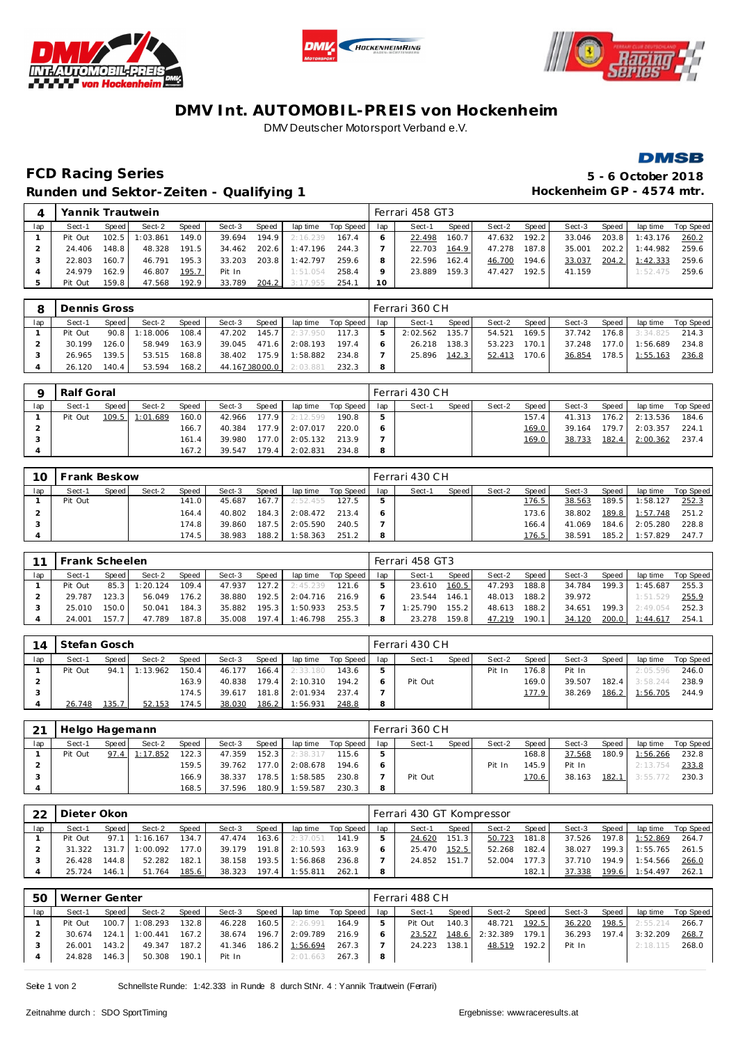





## **DMV Int. AUTOMOBIL-PREIS von Hockenheim** DMV Deutscher Motorsport Verband e.V.



## **FCD Racing Series 5 - 6 October 2018 Runden und Sektor-Zeiten - Qualifying 1 Hockenheim GP - 4574 mtr.**

|     | Yannik Trautwein |       |         |       |        |       |                |           |     | Ferrari 458 GT3 |       |        |       |        |       |          |           |
|-----|------------------|-------|---------|-------|--------|-------|----------------|-----------|-----|-----------------|-------|--------|-------|--------|-------|----------|-----------|
| lap | Sect-1           | Speed | Sect-2  | Speed | Sect-3 | Speed | lap time       | Top Speed | lap | Sect-1          | Speed | Sect-2 | Speed | Sect-3 | Speed | lap time | Top Speed |
|     | Pit Out          | 102.5 | :03.861 | 149.0 | 39.694 | 194.9 | 2:16.239       | 167.4     |     | 22.498          | 160.7 | 47.632 | 192.2 | 33.046 | 203.8 | 1:43.176 | 260.2     |
|     | 24.406           | 148.8 | 48.328  | 191.5 | 34.462 |       | 202.6 1:47.196 | 244.3     |     | 22.703          | 164.9 | 47.278 | 187.8 | 35.001 | 202.2 | 1:44.982 | 259.6     |
|     | 22.803           | 160.7 | 46.791  | 195.3 | 33.203 | 203.8 | 1:42.797       | 259.6     |     | 22.596          | 162.4 | 46.700 | 194.6 | 33.037 | 204.2 | 1:42.333 | 259.6     |
|     | 24.979           | 162.9 | 46.807  | 195.7 | Pit In |       | 1:51.054       | 258.4     | Q   | 23.889          | 159.3 | 47.427 | 192.5 | 41.159 |       | 1:52.475 | 259.6     |
|     | Pit Out          | 159.8 | 47.568  | 192.9 | 33.789 | 204.2 | 3:17.955       | 254.1     | 10  |                 |       |        |       |        |       |          |           |

| 8   | Dennis Gross |         |          |       |                |       |          |           |     | Ferrari 360 CH |        |        |       |        |         |          |           |
|-----|--------------|---------|----------|-------|----------------|-------|----------|-----------|-----|----------------|--------|--------|-------|--------|---------|----------|-----------|
| lap | Sect-1       | Speed I | Sect-2   | Speed | Sect-3         | Speed | lap time | Top Speed | lap | Sect-1         | Speed  | Sect-2 | Speed | Sect-3 | Speed   | lap time | Top Speed |
|     | Pit Out      | 90.8    | 1:18.006 | 108.4 | 47.202         | 145.7 | 2:37.950 | 117.3     | 5.  | 2:02.562       | 135.7  | 54.521 | 169.5 | 37.742 | $176.8$ | 3:34.825 | 214.3     |
|     | 30.199       | 126.0   | 58.949   | 163.9 | 39.045         | 471.6 | 2:08.193 | 197.4     |     | 26.218         | 138.31 | 53.223 | 170.1 | 37.248 | 177.0   | 1:56.689 | 234.8     |
|     | 26.965       | 139.5   | 53.515   | 168.8 | 38.402         | 175.9 | 1:58.882 | 234.8     |     | 25.896         | 142.3  | 52.413 | 70.6  | 36.854 | 178.5   | 1:55.163 | 236.8     |
|     | 26.120       | 140.4   | 53.594   | 168.2 | 44.167 08000.0 |       | 2:03.881 | 232.3     | 8   |                |        |        |       |        |         |          |           |

|     | Ralf Goral |         |          |       |        |       |          |           |     | Ferrari 430 CH |       |        |       |        |         |          |           |
|-----|------------|---------|----------|-------|--------|-------|----------|-----------|-----|----------------|-------|--------|-------|--------|---------|----------|-----------|
| lap | Sect-1     | Speed I | Sect-2   | Speed | Sect-3 | Speed | lap time | Top Speed | lap | Sect-1         | Speed | Sect-2 | Speed | Sect-3 | Speed   | lap time | Top Speed |
|     | Pit Out    | 109.5   | 1:01.689 | 160.0 | 42.966 | 177.9 | 2:12.599 | 190.8     | 5   |                |       |        | 157.4 | 41.313 | $176.2$ | 2:13.536 | 184.6     |
|     |            |         |          | 166.7 | 40.384 | 177.9 | 2:07.017 | 220.0     |     |                |       |        | 169.0 | 39.164 | 179.7   | 2:03.357 | 224.7     |
|     |            |         |          | 161.4 | 39.980 | 177.0 | 2:05.132 | 213.9     |     |                |       |        | 169.0 | 38.733 | 182.4   | 2:00.362 | 237.4     |
|     |            |         |          | 167.2 | 39.547 | 179.4 | 2:02.831 | 234.8     | 8   |                |       |        |       |        |         |          |           |

| 10  | Frank Beskow |       |        |       |        |        |          |           |     | l Ferrari 430 C H |       |        |       |        |         |                |           |
|-----|--------------|-------|--------|-------|--------|--------|----------|-----------|-----|-------------------|-------|--------|-------|--------|---------|----------------|-----------|
| lap | Sect-1       | Speed | Sect-2 | Speed | Sect-3 | Speed, | lap time | Top Speed | lap | Sect-1            | Speed | Sect-2 | Speed | Sect-3 | Speed   | lap time       | Top Speed |
|     | Pit Out      |       |        | 141.0 | 45.687 | 167.7  | 2:52.455 | 127.5     |     |                   |       |        | 176.5 | 38.563 | 189.5   | 1:58.127       | 252.3     |
|     |              |       |        | 164.4 | 40.802 | 184.3  | 2:08.472 | 213.4     |     |                   |       |        | 173.6 | 38.802 |         | 189.8 1:57.748 | 251.2     |
|     |              |       |        | 174.8 | 39.860 | 187.5  | 2:05.590 | 240.5     |     |                   |       |        | 166.4 | 41.069 | $184.6$ | 2:05.280       | 228.8     |
|     |              |       |        | 174.5 | 38.983 | 188.2  | 1:58.363 | 251.2     |     |                   |       |        | 176.5 | 38.591 | 185.2   | 1:57.829       | 247.7     |

|     | Frank Scheelen |       |          |              |        |       |          |           |     | Ferrari 458 GT3 |       |        |       |        |                    |          |           |
|-----|----------------|-------|----------|--------------|--------|-------|----------|-----------|-----|-----------------|-------|--------|-------|--------|--------------------|----------|-----------|
| lap | Sect-1         | Speed | Sect-2   | <b>Speed</b> | Sect-3 | Speed | lap time | Top Speed | lap | Sect-1          | Speed | Sect-2 | Speed | Sect-3 | Speed              | lap time | Top Speed |
|     | Pit Out        | 85.3  | : 20.124 | 109.4        | 47.937 | 127.2 | 2:45.239 | 121.6     |     | 23.610          | 160.5 | 47.293 | 188.8 | 34.784 | 199.3 <sub>1</sub> | 1:45.687 | 255.3     |
|     | 29.787         | 123.3 | 56.049   | 176.2        | 38.880 | 192.5 | 2:04.716 | 216.9     |     | 23.544          | 146.1 | 48.013 | 188.2 | 39.972 |                    | 1:51.529 | 255.9     |
|     | 25.010         | 150.0 | 50.041   | 184.3        | 35.882 | 195.3 | 1:50.933 | 253.5     |     | 1:25.790        | 155.2 | 48.613 | 188.2 | 34.651 | 199.3              | 2:49.054 | 252.3     |
|     | 24.001         | 157.7 | 47.789   | 187.8        | 35.008 | 197.4 | 1:46.798 | 255.3     |     | 23.278          | 159.8 | 47.219 | 190.1 | 34.120 | 200.0              | 1:44.617 | 254.7     |

| 14  | Stefan Gosch |       |          |       |        |                    |          |           |     | l Ferrari 430 CH |       |        |       |        |       |          |           |
|-----|--------------|-------|----------|-------|--------|--------------------|----------|-----------|-----|------------------|-------|--------|-------|--------|-------|----------|-----------|
| lap | Sect-1       | Speed | Sect-2   | Speed | Sect-3 | Speed              | lap time | Top Speed | lap | Sect-1           | Speed | Sect-2 | Speed | Sect-3 | Speed | lap time | Top Speed |
|     | Pit Out      | 94.1  | 1:13.962 | 150.4 | 46.177 | 166.4 <sub>1</sub> | 2:33.180 | 143.6     |     |                  |       | Pit In | 176.8 | Pit In |       | 2:05.596 | 246.0     |
|     |              |       |          | 163.9 | 40.838 | 179.4              | 2:10.310 | 194.2     |     | Pit Out          |       |        | 169.0 | 39.507 | 182.4 | 3:58.244 | 238.9     |
|     |              |       |          | 174.5 | 39.617 | 181.8              | 2:01.934 | 237.4     |     |                  |       |        | 177.9 | 38.269 | 186.2 | 1:56.705 | 244.9     |
|     | 26.748       | 135.7 | 52.153   | 174.5 | 38.030 | 186.2              | 1:56.931 | 248.8     |     |                  |       |        |       |        |       |          |           |

| 21  | Helgo Hagemann |       |          |       |        |       |          |           |     | Ferrari 360 CH |       |        |       |        |       |          |           |
|-----|----------------|-------|----------|-------|--------|-------|----------|-----------|-----|----------------|-------|--------|-------|--------|-------|----------|-----------|
| lap | Sect-1         | Speed | Sect-2   | Speed | Sect-3 | Speed | lap time | Top Speed | lap | Sect-1         | Speed | Sect-2 | Speed | Sect-3 | Speed | lap time | Top Speed |
|     | Pit Out        | 97.4  | 1:17.852 | 122.3 | 47.359 | 152.3 | 2:38.317 | 115.6     |     |                |       |        | 168.8 | 37.568 | 180.9 | 1:56.266 | 232.8     |
|     |                |       |          | 159.5 | 39.762 | 177.0 | 2:08.678 | 194.6     |     |                |       | Pit In | 145.9 | Pit In |       | 2:13.754 | 233.8     |
|     |                |       |          | 166.9 | 38.337 | 178.5 | 1:58.585 | 230.8     |     | Pit Out        |       |        | 170.6 | 38.163 | 182.1 | 3:55.772 | 230.3     |
|     |                |       |          | 168.5 | 37.596 | 180.9 | 1:59.587 | 230.3     |     |                |       |        |       |        |       |          |           |

| 22  | Dieter Okon |         |          |       |        |       |          |           |     | l Ferrari 430 GT Kompressor |       |        |         |        |       |          |           |
|-----|-------------|---------|----------|-------|--------|-------|----------|-----------|-----|-----------------------------|-------|--------|---------|--------|-------|----------|-----------|
| lap | Sect-1      | Speed I | Sect-2   | Speed | Sect-3 | Speed | lap time | Top Speed | lap | Sect-1                      | Speed | Sect-2 | Speed I | Sect-3 | Speed | lap time | Top Speed |
|     | Pit Out     | 97.1    | 1:16.167 | 134.7 | 47.474 | 163.6 | 2:37.051 | 141.9     |     | 24.620                      | 151.3 | 50.723 | 181.8   | 37.526 | 197.8 | 1:52.869 | 264.7     |
|     | 31.322      | 131.7   | 1:00.092 | 177.0 | 39.179 | 191.8 | 2:10.593 | 163.9     |     | 25.470                      | 152.5 | 52.268 | 182.4   | 38.027 | 199.3 | 1:55.765 | 261.5     |
|     | 26.428      | 144.8   | 52.282   | 182.1 | 38.158 | 193.5 | 1:56.868 | 236.8     |     | 24.852                      | 151.7 | 52.004 | 177.3   | 37.710 | 194.9 | 1:54.566 | 266.0     |
|     | 25.724      | 146.1   | 51.764   | 185.6 | 38.323 | 197.4 | 1:55.811 | 262.1     |     |                             |       |        | 182.    | 37.338 | 199.6 | 1:54.497 | 262.1     |

| 5C  | Werner Genter |         |                |       |        |       |          |                    |     | Ferrari 488 CH |       |                |       |        |       |                |             |
|-----|---------------|---------|----------------|-------|--------|-------|----------|--------------------|-----|----------------|-------|----------------|-------|--------|-------|----------------|-------------|
| lap | Sect-1        | Speed I | Sect-2         | Speed | Sect-3 | Speed |          | lap time Top Speed | lap | Sect-1         | Speed | Sect-2         | Speed | Sect-3 | Speed | lap time       | Top Speed I |
|     | Pit Out       |         | 100.7 1:08.293 | 132.8 | 46.228 | 160.5 | 2:26.991 | 164.9              | 5   | Pit Out        | 140.3 | 48.721         | 192.5 | 36.220 |       | 198.5 2:55.214 | 266.7       |
|     | 30.674        |         | 124.1 1:00.441 | 167.2 | 38.674 | 196.7 | 2:09.789 | 216.9              |     | 23.527         |       | 148.6 2:32.389 | 179.1 | 36.293 |       | 197.4 3:32.209 | 268.7       |
|     | 26.001        | 143.2   | 49.347         | 187.2 | 41.346 | 186.2 | 1:56.694 | 267.3              |     | 24.223         | 138.1 | 48.519         | 192.2 | Pit In |       | 2:18.115       | 268.0       |
|     | 24.828        | 146.3   | 50.308         | 190.1 | Pit In |       | 2:01.663 | 267.3              | 8   |                |       |                |       |        |       |                |             |

Seite 1 von 2 Schnellste Runde: 1:42.333 in Runde 8 durch StNr. 4 : Yannik Trautwein (Ferrari)